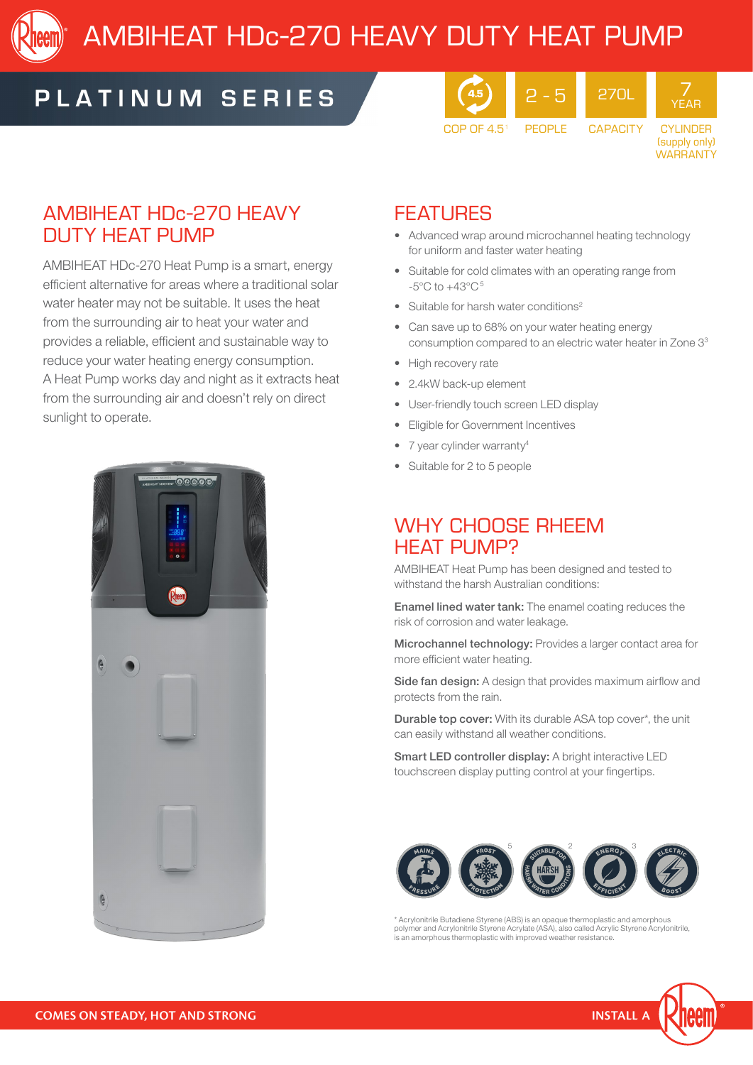

# AMBIHEAT HDc-270 HEAVY DUTY HEAT PUMP

## PLATINUM SERIES



CYLINDER (supply only) WARRANTY

7 YEAR

### AMBIHEAT HDc-270 HEAVY DUTY HEAT PUMP

AMBIHEAT HDc-270 Heat Pump is a smart, energy efficient alternative for areas where a traditional solar water heater may not be suitable. It uses the heat from the surrounding air to heat your water and provides a reliable, efficient and sustainable way to reduce your water heating energy consumption. A Heat Pump works day and night as it extracts heat from the surrounding air and doesn't rely on direct sunlight to operate.



### **FEATURES**

- Advanced wrap around microchannel heating technology for uniform and faster water heating
- Suitable for cold climates with an operating range from  $-5^{\circ}$ C to  $+43^{\circ}$ C<sup>5</sup>
- Suitable for harsh water conditions<sup>2</sup>
- Can save up to 68% on your water heating energy consumption compared to an electric water heater in Zone 33
- High recovery rate
- 2.4kW back-up element
- User-friendly touch screen LED display
- Eligible for Government Incentives
- 7 year cylinder warranty<sup>4</sup>
- Suitable for 2 to 5 people

#### WHY CHOOSE RHEEM **HFAT PUMP?**

AMBIHEAT Heat Pump has been designed and tested to withstand the harsh Australian conditions:

Enamel lined water tank: The enamel coating reduces the risk of corrosion and water leakage.

Microchannel technology: Provides a larger contact area for more efficient water heating.

Side fan design: A design that provides maximum airflow and protects from the rain.

Durable top cover: With its durable ASA top cover\*, the unit can easily withstand all weather conditions.

Smart LED controller display: A bright interactive LED touchscreen display putting control at your fingertips.



\* Acrylonitrile Butadiene Styrene (ABS) is an opaque thermoplastic and amorphous polymer and Acrylonitrile Styrene Acrylate (ASA), also called Acrylic Styrene Acrylonitrile, is an amorphous thermoplastic with improved weather resistance.